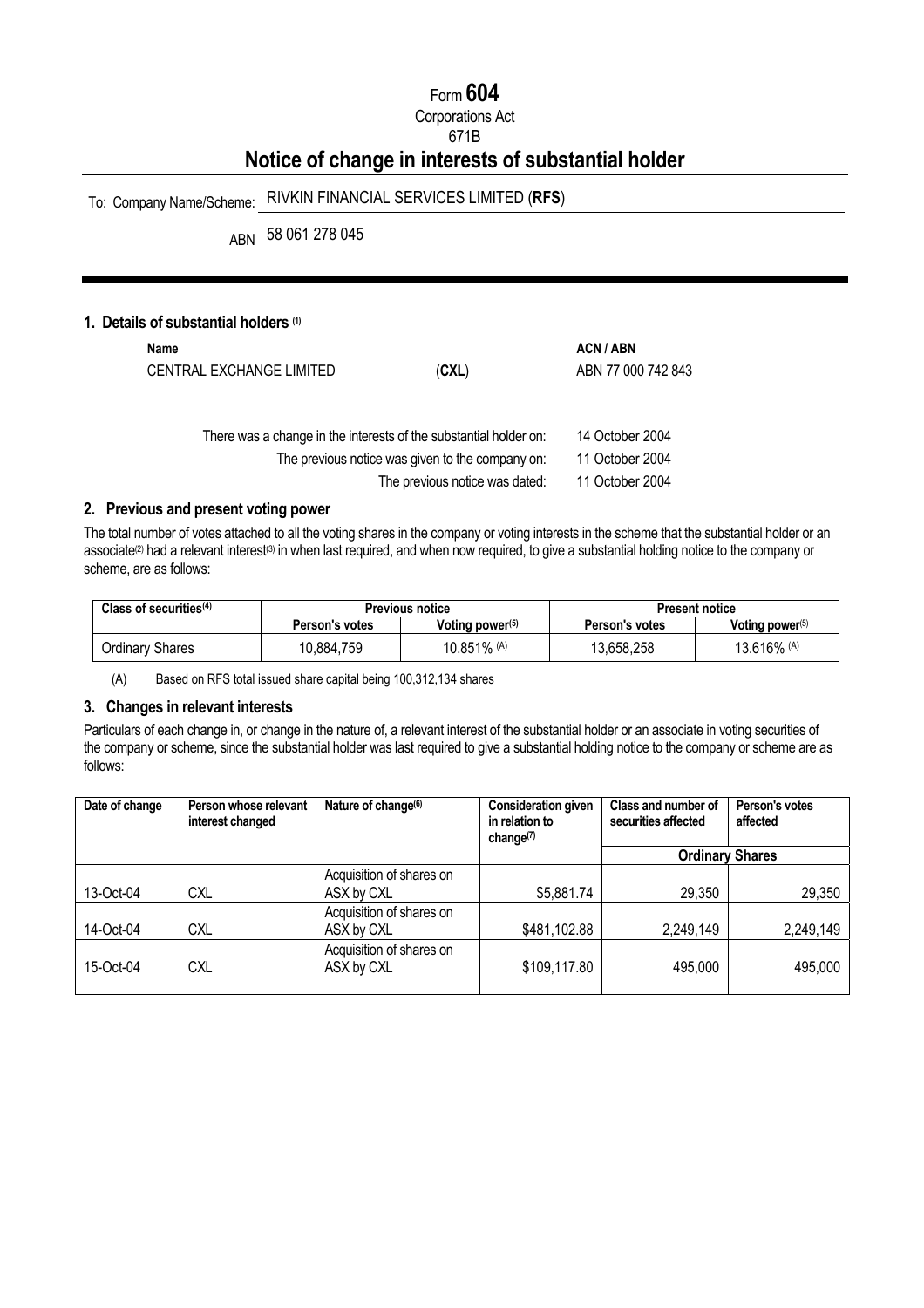# Form **604**

Corporations Act

## 671B

# **Notice of change in interests of substantial holder**

# To: Company Name/Scheme: RIVKIN FINANCIAL SERVICES LIMITED (**RFS**)

ABN 58 061 278 045

## **1. Details of substantial holders (1)**

| Name<br>CENTRAL EXCHANGE LIMITED | (CXL)                                                             | <b>ACN/ABN</b><br>ABN 77 000 742 843 |
|----------------------------------|-------------------------------------------------------------------|--------------------------------------|
|                                  | There was a change in the interests of the substantial holder on: | 14 October 2004                      |
|                                  | The previous notice was given to the company on:                  | 11 October 2004                      |
|                                  | The previous notice was dated:                                    | 11 October 2004                      |

# **2. Previous and present voting power**

The total number of votes attached to all the voting shares in the company or voting interests in the scheme that the substantial holder or an associate<sup>(2)</sup> had a relevant interest<sup>(3)</sup> in when last required, and when now required, to give a substantial holding notice to the company or scheme, are as follows:

| Class of securities $(4)$ | <b>Previous notice</b> |                    | Present notice        |                    |
|---------------------------|------------------------|--------------------|-----------------------|--------------------|
|                           | Person's votes         | Voting power $(5)$ | <b>Person's votes</b> | Voting power $(5)$ |
| Ordinary Shares           | 10,884,759             | 10.851% (A)        | 13,658,258            | 13.616% (A)        |

(A) Based on RFS total issued share capital being 100,312,134 shares

#### **3. Changes in relevant interests**

Particulars of each change in, or change in the nature of, a relevant interest of the substantial holder or an associate in voting securities of the company or scheme, since the substantial holder was last required to give a substantial holding notice to the company or scheme are as follows:

| Date of change | Person whose relevant<br>interest changed | Nature of change <sup>(6)</sup>        | <b>Consideration given</b><br>in relation to<br>change $(7)$ | Class and number of<br>securities affected | Person's votes<br>affected |
|----------------|-------------------------------------------|----------------------------------------|--------------------------------------------------------------|--------------------------------------------|----------------------------|
|                |                                           |                                        |                                                              |                                            | <b>Ordinary Shares</b>     |
| 13-Oct-04      | CXL                                       | Acquisition of shares on<br>ASX by CXL | \$5,881.74                                                   | 29,350                                     | 29,350                     |
| 14-Oct-04      | <b>CXL</b>                                | Acquisition of shares on<br>ASX by CXL | \$481,102.88                                                 | 2,249,149                                  | 2,249,149                  |
| 15-Oct-04      | CXL                                       | Acquisition of shares on<br>ASX by CXL | \$109,117.80                                                 | 495,000                                    | 495,000                    |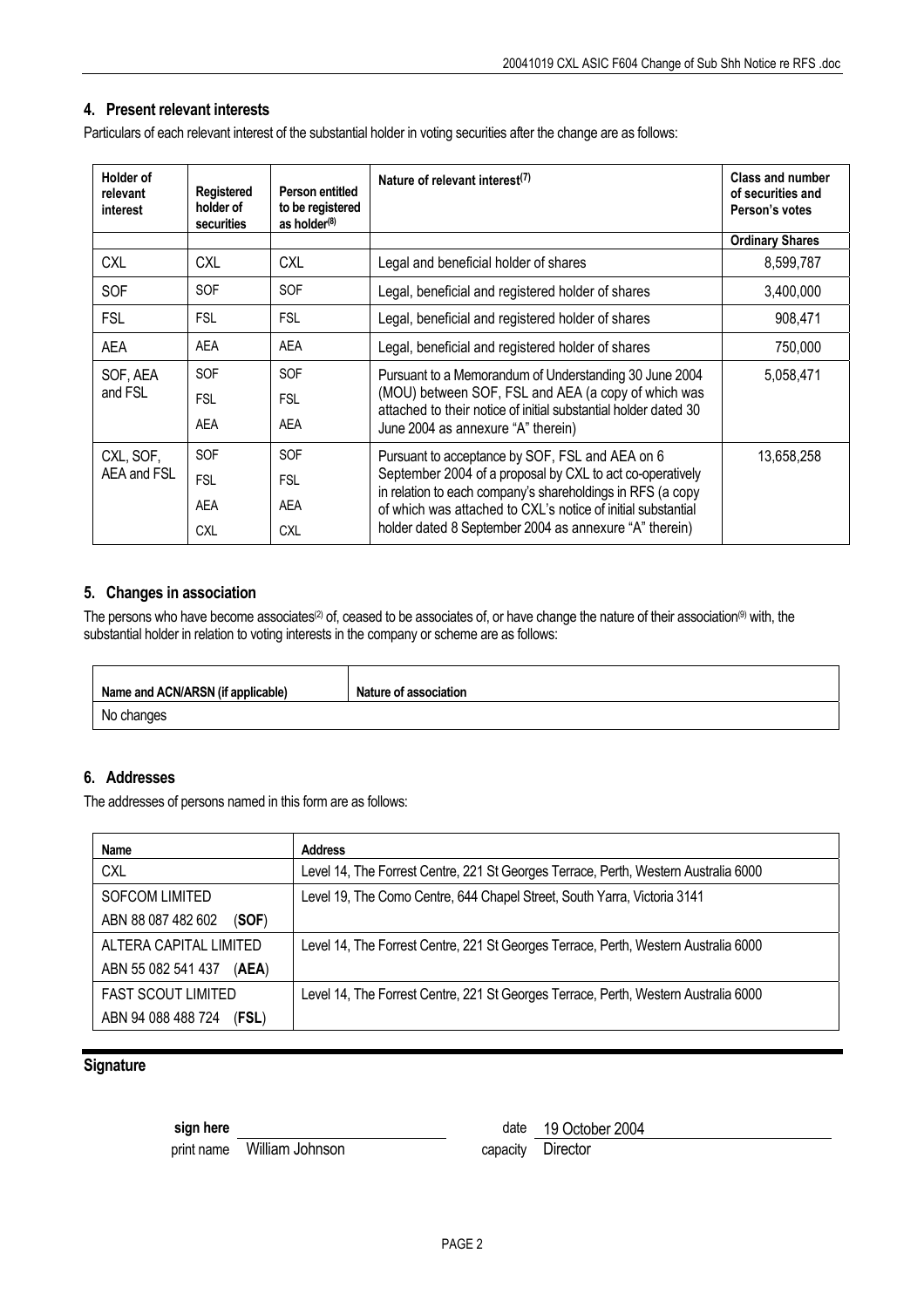## **4. Present relevant interests**

Particulars of each relevant interest of the substantial holder in voting securities after the change are as follows:

| <b>Holder of</b><br>relevant<br>interest | Registered<br>holder of<br>securities | Person entitled<br>to be registered<br>as holder <sup>(8)</sup> | Nature of relevant interest <sup>(7)</sup>                                                                                                                                                                                                                                                           | <b>Class and number</b><br>of securities and<br>Person's votes |
|------------------------------------------|---------------------------------------|-----------------------------------------------------------------|------------------------------------------------------------------------------------------------------------------------------------------------------------------------------------------------------------------------------------------------------------------------------------------------------|----------------------------------------------------------------|
|                                          |                                       |                                                                 |                                                                                                                                                                                                                                                                                                      | <b>Ordinary Shares</b>                                         |
| <b>CXL</b>                               | <b>CXL</b>                            | <b>CXL</b>                                                      | Legal and beneficial holder of shares                                                                                                                                                                                                                                                                | 8,599,787                                                      |
| SOF                                      | <b>SOF</b>                            | <b>SOF</b>                                                      | Legal, beneficial and registered holder of shares                                                                                                                                                                                                                                                    | 3,400,000                                                      |
| <b>FSL</b>                               | <b>FSL</b>                            | <b>FSL</b>                                                      | Legal, beneficial and registered holder of shares                                                                                                                                                                                                                                                    | 908,471                                                        |
| AEA                                      | <b>AEA</b>                            | AEA                                                             | Legal, beneficial and registered holder of shares                                                                                                                                                                                                                                                    | 750,000                                                        |
| SOF, AEA                                 | <b>SOF</b>                            | <b>SOF</b>                                                      | Pursuant to a Memorandum of Understanding 30 June 2004<br>(MOU) between SOF, FSL and AEA (a copy of which was<br>attached to their notice of initial substantial holder dated 30<br>June 2004 as annexure "A" therein)                                                                               | 5,058,471                                                      |
| and FSL                                  | <b>FSL</b>                            | <b>FSL</b>                                                      |                                                                                                                                                                                                                                                                                                      |                                                                |
|                                          | AEA                                   | AEA                                                             |                                                                                                                                                                                                                                                                                                      |                                                                |
| CXL, SOF,                                | <b>SOF</b>                            | <b>SOF</b>                                                      | Pursuant to acceptance by SOF, FSL and AEA on 6<br>September 2004 of a proposal by CXL to act co-operatively<br>in relation to each company's shareholdings in RFS (a copy<br>of which was attached to CXL's notice of initial substantial<br>holder dated 8 September 2004 as annexure "A" therein) | 13,658,258                                                     |
| AEA and FSL                              | <b>FSL</b>                            | <b>FSL</b>                                                      |                                                                                                                                                                                                                                                                                                      |                                                                |
|                                          | <b>AEA</b>                            | <b>AEA</b>                                                      |                                                                                                                                                                                                                                                                                                      |                                                                |
|                                          | <b>CXL</b>                            | <b>CXL</b>                                                      |                                                                                                                                                                                                                                                                                                      |                                                                |

#### **5. Changes in association**

The persons who have become associates<sup>(2)</sup> of, ceased to be associates of, or have change the nature of their association<sup>(9)</sup> with, the substantial holder in relation to voting interests in the company or scheme are as follows:

| Name and ACN/ARSN (if applicable) | <b>Nature of association</b> |
|-----------------------------------|------------------------------|
| No changes                        |                              |

## **6. Addresses**

The addresses of persons named in this form are as follows:

| Name                        | <b>Address</b>                                                                      |
|-----------------------------|-------------------------------------------------------------------------------------|
| <b>CXL</b>                  | Level 14, The Forrest Centre, 221 St Georges Terrace, Perth, Western Australia 6000 |
| <b>SOFCOM LIMITED</b>       | Level 19, The Como Centre, 644 Chapel Street, South Yarra, Victoria 3141            |
| ABN 88 087 482 602<br>(SOF) |                                                                                     |
| ALTERA CAPITAL LIMITED      | Level 14, The Forrest Centre, 221 St Georges Terrace, Perth, Western Australia 6000 |
| ABN 55 082 541 437<br>(AEA) |                                                                                     |
| <b>FAST SCOUT LIMITED</b>   | Level 14, The Forrest Centre, 221 St Georges Terrace, Perth, Western Australia 6000 |
| ABN 94 088 488 724<br>(FSL) |                                                                                     |

### **Signature**

print name William Johnson capacity Director

**sign here** date 19 October 2004